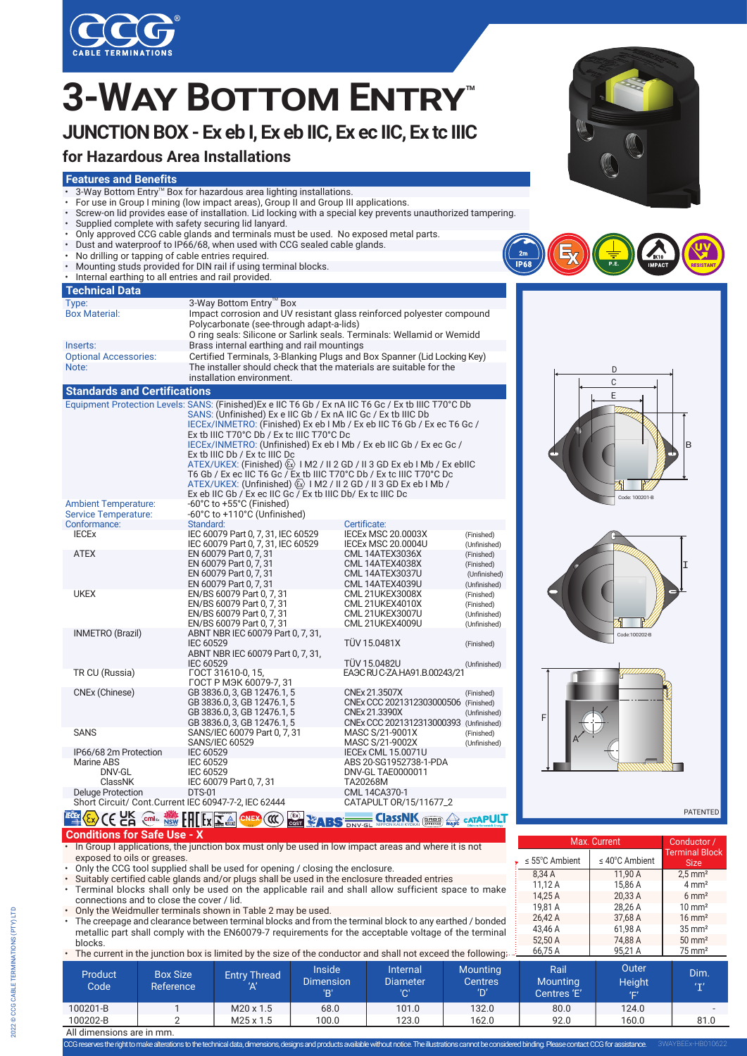

# $3$ -WAY BOTTOM ENTRY

# **JUNCTION BOX - Ex eb I, Ex eb IIC, Ex ec IIC, Ex tc IIIC**

## **for Hazardous Area Installations**

#### **Features and Benefits**

- 3-Way Bottom Entry™ Box for hazardous area lighting installations.
- For use in Group I mining (low impact areas), Group II and Group III applications.
- Screw-on lid provides ease of installation. Lid locking with a special key prevents unauthorized tampering.
- Supplied complete with safety securing lid lanyard.
- Only approved CCG cable glands and terminals must be used. No exposed metal parts.
- Dust and waterproof to IP66/68, when used with CCG sealed cable glands.
- No drilling or tapping of cable entries required.
- Mounting studs provided for DIN rail if using terminal blocks. • Internal earthing to all entries and rail provided.

| <b>Technical Data</b>                                      |                                                                                                                                                                                                                                                                                                                                                                                                                                                                                                                                                                                                                                                                                                                                                     |
|------------------------------------------------------------|-----------------------------------------------------------------------------------------------------------------------------------------------------------------------------------------------------------------------------------------------------------------------------------------------------------------------------------------------------------------------------------------------------------------------------------------------------------------------------------------------------------------------------------------------------------------------------------------------------------------------------------------------------------------------------------------------------------------------------------------------------|
| Type:                                                      | 3-Way Bottom Entry™ Box                                                                                                                                                                                                                                                                                                                                                                                                                                                                                                                                                                                                                                                                                                                             |
| <b>Box Material:</b>                                       | Impact corrosion and UV resistant glass reinforced polyester compound<br>Polycarbonate (see-through adapt-a-lids)<br>O ring seals: Silicone or Sarlink seals. Terminals: Wellamid or Wemidd                                                                                                                                                                                                                                                                                                                                                                                                                                                                                                                                                         |
| Inserts:                                                   | Brass internal earthing and rail mountings                                                                                                                                                                                                                                                                                                                                                                                                                                                                                                                                                                                                                                                                                                          |
| <b>Optional Accessories:</b>                               | Certified Terminals, 3-Blanking Plugs and Box Spanner (Lid Locking Key)                                                                                                                                                                                                                                                                                                                                                                                                                                                                                                                                                                                                                                                                             |
| Note:                                                      | The installer should check that the materials are suitable for the<br>installation environment.                                                                                                                                                                                                                                                                                                                                                                                                                                                                                                                                                                                                                                                     |
| <b>Standards and Certifications</b>                        |                                                                                                                                                                                                                                                                                                                                                                                                                                                                                                                                                                                                                                                                                                                                                     |
|                                                            | Equipment Protection Levels: SANS: (Finished) Ex e IIC T6 Gb / Ex nA IIC T6 Gc / Ex tb IIIC T70°C Db<br>SANS: (Unfinished) Ex e IIC Gb / Ex nA IIC Gc / Ex tb IIIC Db<br>IECEX/INMETRO: (Finished) Ex eb I Mb / Ex eb IIC T6 Gb / Ex ec T6 Gc /<br>Ex tb IIIC T70°C Db / Ex tc IIIC T70°C Dc<br>IECEX/INMETRO: (Unfinished) Ex eb I Mb / Ex eb IIC Gb / Ex ec Gc /<br>Ex tb IIIC Db / Ex tc IIIC Dc<br>ATEX/UKEX: (Finished) $\langle \overline{\xi} \overline{x} \rangle$   M2 / II 2 GD / II 3 GD Ex eb   Mb / Ex ebIIC<br>T6 Gb / Ex ec IIC T6 Gc / Ex tb IIIC T70°C Db / Ex tc IIIC T70°C Dc<br>ATEX/UKEX: (Unfinished) $\langle x \rangle$   M2 / II 2 GD / II 3 GD Ex eb   Mb /<br>Ex eb IIC Gb / Ex ec IIC Gc / Ex tb IIIC Db/ Ex tc IIIC Dc |
| <b>Ambient Temperature:</b><br><b>Service Temperature:</b> | -60°C to +55°C (Finished)<br>-60°C to +110°C (Unfinished)                                                                                                                                                                                                                                                                                                                                                                                                                                                                                                                                                                                                                                                                                           |

| JEIVILE TEINDEIALUIE.                                 | $-000$ C to $+1100$ C (Offinition Eq. (                    |                                            |                            |
|-------------------------------------------------------|------------------------------------------------------------|--------------------------------------------|----------------------------|
| Conformance:                                          | Standard:                                                  | Certificate:                               |                            |
| <b>IECEX</b>                                          | IEC 60079 Part 0, 7, 31, IEC 60529                         | <b>IECEX MSC 20.0003X</b>                  | (Finished)                 |
|                                                       | IEC 60079 Part 0, 7, 31, IEC 60529                         | <b>IECEX MSC 20.0004U</b>                  | (Unfinished)               |
| <b>ATEX</b>                                           | EN 60079 Part 0, 7, 31                                     | CML 14ATEX3036X                            | (Finished)                 |
|                                                       | EN 60079 Part 0, 7, 31                                     | CML 14ATEX4038X                            | (Finished)                 |
|                                                       | EN 60079 Part 0, 7, 31                                     | CML 14ATEX3037U                            | (Unfinished)               |
|                                                       | EN 60079 Part 0, 7, 31                                     | <b>CML 14ATEX4039U</b>                     | (Unfinished)               |
| <b>UKEX</b>                                           | EN/BS 60079 Part 0, 7, 31                                  | <b>CML 21UKEX3008X</b>                     | (Finished)                 |
|                                                       | EN/BS 60079 Part 0, 7, 31                                  | <b>CML 21UKEX4010X</b>                     | (Finished)                 |
|                                                       | EN/BS 60079 Part 0, 7, 31                                  | <b>CML 21UKEX3007U</b>                     | (Unfinished)               |
|                                                       | EN/BS 60079 Part 0, 7, 31                                  | <b>CML 21UKEX4009U</b>                     | (Unfinished)               |
| INMETRO (Brazil)                                      | ABNT NBR IEC 60079 Part 0, 7, 31,                          |                                            |                            |
|                                                       | IEC 60529                                                  | <b>TÜV 15.0481X</b>                        | (Finished)                 |
|                                                       | ABNT NBR IEC 60079 Part 0, 7, 31,                          |                                            |                            |
|                                                       | IEC 60529                                                  | <b>TÜV 15.0482U</b>                        | (Unfinished)               |
| TR CU (Russia)                                        | FOCT 31610-0, 15.                                          | EAGC RU C-ZA HA91.B.00243/21               |                            |
|                                                       | ГОСТ Р МЭК 60079-7, 31                                     | CNEx 21.3507X                              |                            |
| CNEx (Chinese)                                        | GB 3836.0, 3, GB 12476.1, 5                                |                                            | (Finished)                 |
|                                                       | GB 3836.0, 3, GB 12476.1, 5                                | CNEx CCC 2021312303000506                  | (Finished)                 |
|                                                       | GB 3836.0, 3, GB 12476.1, 5<br>GB 3836.0, 3, GB 12476.1, 5 | CNEx 21.3390X<br>CNEx CCC 2021312313000393 | (Unfinished)               |
| <b>SANS</b>                                           | SANS/IEC 60079 Part 0, 7, 31                               | MASC S/21-9001X                            | (Unfinished)<br>(Finished) |
|                                                       | <b>SANS/IEC 60529</b>                                      | MASC S/21-9002X                            | (Unfinished)               |
| IP66/68 2m Protection                                 | IEC 60529                                                  | <b>IECEX CML 15.0071U</b>                  |                            |
| Marine ABS                                            | IEC 60529                                                  | ABS 20-SG1952738-1-PDA                     |                            |
| DNV-GL                                                | IEC 60529                                                  | DNV-GL TAE0000011                          |                            |
| ClassNK                                               | IEC 60079 Part 0, 7, 31                                    | TA20268M                                   |                            |
| <b>Deluge Protection</b>                              | <b>DTS-01</b>                                              | CML 14CA370-1                              |                            |
| Short Circuit/ Cont. Current IEC 60947-7-2, IEC 62444 |                                                            | CATAPULT 0R/15/11677_2                     |                            |
|                                                       |                                                            |                                            |                            |

#### **OCP OCH OCP NOW LILLIA CONTROL Segurança CNEX CCC CCST CABS EXAGER CLASS NIK**

**Conditions for Safe Use - X**

• In Group I applications, the junction box must only be used in low impact areas and where it is not exposed to oils or greases.

- Only the CCG tool supplied shall be used for opening / closing the enclosure.
- Suitably certified cable glands and/or plugs shall be used in the enclosure threaded entries
- Terminal blocks shall only be used on the applicable rail and shall allow sufficient space to make connections and to close the cover / lid.
- Only the Weidmuller terminals shown in Table 2 may be used.
- The creepage and clearance between terminal blocks and from the terminal block to any earthed / bonded metallic part shall comply with the EN60079-7 requirements for the acceptable voltage of the terminal blocks.
- The current in the junction box is limited by the size of the conductor and shall not exceed the following:

| 66,75 A<br>• The current in the junction box is limited by the size of the conductor and shall not exceed the following: |                              |                            |                                          |                                           | 95.21 A                                  | $75 \text{ mm}^2$                      |                               |              |
|--------------------------------------------------------------------------------------------------------------------------|------------------------------|----------------------------|------------------------------------------|-------------------------------------------|------------------------------------------|----------------------------------------|-------------------------------|--------------|
| <b>Product</b><br>Code                                                                                                   | <b>Box Size</b><br>Reference | <b>Entry Thread</b><br>'Α' | <b>Inside</b><br><b>Dimension</b><br>'B' | <b>Internal</b><br><b>Diameter</b><br>'C' | <b>Mounting</b><br><b>Centres</b><br>'D' | Rail<br><b>Mounting</b><br>Centres 'E' | Outer<br><b>Height</b><br>VE' | Dim.<br>(T') |
| 100201-B                                                                                                                 |                              | $M20 \times 1.5$           | 68.0                                     | 101.0                                     | 132.0                                    | 80.0                                   | 124.0                         |              |
| 100202-B                                                                                                                 |                              | $M25 \times 1.5$           | 100.0                                    | 123.0                                     | 162.0                                    | 92.0                                   | 160.0                         | 81.0         |
| All dimensions are in mm.                                                                                                |                              |                            |                                          |                                           |                                          |                                        |                               |              |

CCG reserves the right to make alterations to the technical data, dimensions, designs and products available without notice. The illustrations cannot be considered binding. Please contact CCGfor assistance.





 $2m$ 





 $\leq 40^{\circ}$ C Ambient

 $20.33 \text{ A}$  6 mm<sup>2</sup>

8.34 A 11,90 A 2.5 mm<sup>2</sup> 11,12 A 15,86 A 4 mm<sup>2</sup><br>14 25 A 20 33 A 6 mm<sup>2</sup>

19,81 A 28,26 A 10 mm<sup>2</sup> 26,42 A 37,68 A 16 mm<sup>2</sup> 43,46 A 61,98 A 35 mm<sup>2</sup><br>52,50 A 74,88 A 50 mm<sup>2</sup> 74,88 A

≤ 55°C Ambient  $\vert$  ≤ 40°

Max. Current

PATENTED

Conductor / Terminal Block Size